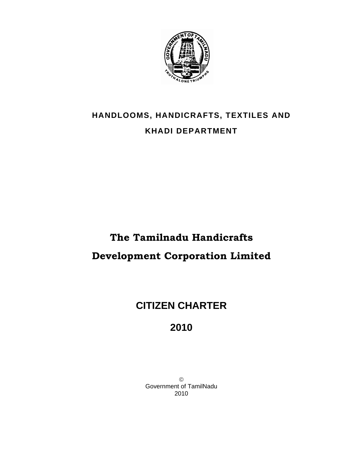

## **HANDLOOMS, HANDICRAFTS, TEXTILES AND KHADI DEPARTMENT**

# **The Tamilnadu Handicrafts Development Corporation Limited**

## **CITIZEN CHARTER**

 **2010** 

© Government of TamilNadu 2010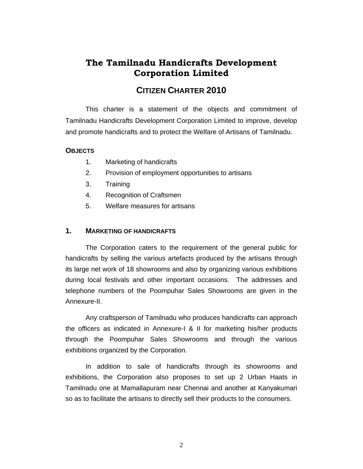### **The Tamilnadu Handicrafts Development Corporation Limited**

### **CITIZEN CHARTER 2010**

This charter is a statement of the objects and commitment of Tamilnadu Handicrafts Development Corporation Limited to improve, develop and promote handicrafts and to protect the Welfare of Artisans of Tamilnadu.

#### **OBJECTS**

- 1. Marketing of handicrafts
- 2. Provision of employment opportunities to artisans
- 3. Training
- 4. Recognition of Craftsmen
- 5. Welfare measures for artisans

#### **1. MARKETING OF HANDICRAFTS**

The Corporation caters to the requirement of the general public for handicrafts by selling the various artefacts produced by the artisans through its large net work of 18 showrooms and also by organizing various exhibitions during local festivals and other important occasions. The addresses and telephone numbers of the Poompuhar Sales Showrooms are given in the Annexure-II.

Any craftsperson of Tamilnadu who produces handicrafts can approach the officers as indicated in Annexure-I & II for marketing his/her products through the Poompuhar Sales Showrooms and through the various exhibitions organized by the Corporation.

In addition to sale of handicrafts through its showrooms and exhibitions, the Corporation also proposes to set up 2 Urban Haats in Tamilnadu one at Mamallapuram near Chennai and another at Kanyakumari so as to facilitate the artisans to directly sell their products to the consumers.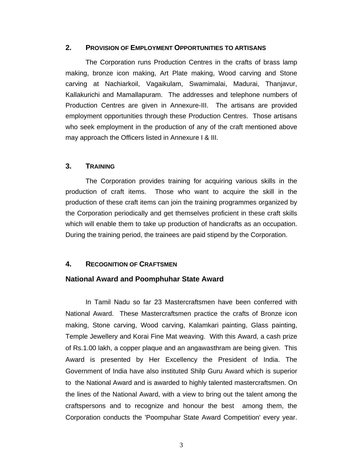#### **2. PROVISION OF EMPLOYMENT OPPORTUNITIES TO ARTISANS**

The Corporation runs Production Centres in the crafts of brass lamp making, bronze icon making, Art Plate making, Wood carving and Stone carving at Nachiarkoil, Vagaikulam, Swamimalai, Madurai, Thanjavur, Kallakurichi and Mamallapuram. The addresses and telephone numbers of Production Centres are given in Annexure-III. The artisans are provided employment opportunities through these Production Centres. Those artisans who seek employment in the production of any of the craft mentioned above may approach the Officers listed in Annexure I & III.

#### **3. TRAINING**

The Corporation provides training for acquiring various skills in the production of craft items. Those who want to acquire the skill in the production of these craft items can join the training programmes organized by the Corporation periodically and get themselves proficient in these craft skills which will enable them to take up production of handicrafts as an occupation. During the training period, the trainees are paid stipend by the Corporation.

#### **4. RECOGNITION OF CRAFTSMEN**

#### **National Award and Poomphuhar State Award**

 In Tamil Nadu so far 23 Mastercraftsmen have been conferred with National Award. These Mastercraftsmen practice the crafts of Bronze icon making, Stone carving, Wood carving, Kalamkari painting, Glass painting, Temple Jewellery and Korai Fine Mat weaving. With this Award, a cash prize of Rs.1.00 lakh, a copper plaque and an angawasthram are being given. This Award is presented by Her Excellency the President of India. The Government of India have also instituted Shilp Guru Award which is superior to the National Award and is awarded to highly talented mastercraftsmen. On the lines of the National Award, with a view to bring out the talent among the craftspersons and to recognize and honour the best among them, the Corporation conducts the 'Poompuhar State Award Competition' every year.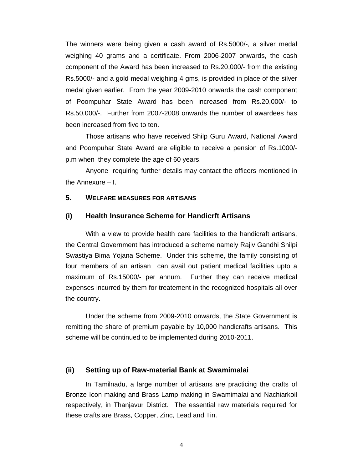The winners were being given a cash award of Rs.5000/-, a silver medal weighing 40 grams and a certificate. From 2006-2007 onwards, the cash component of the Award has been increased to Rs.20,000/- from the existing Rs.5000/- and a gold medal weighing 4 gms, is provided in place of the silver medal given earlier. From the year 2009-2010 onwards the cash component of Poompuhar State Award has been increased from Rs.20,000/- to Rs.50,000/-. Further from 2007-2008 onwards the number of awardees has been increased from five to ten.

 Those artisans who have received Shilp Guru Award, National Award and Poompuhar State Award are eligible to receive a pension of Rs.1000/ p.m when they complete the age of 60 years.

 Anyone requiring further details may contact the officers mentioned in the Annexure – I.

#### **5. WELFARE MEASURES FOR ARTISANS**

#### **(i) Health Insurance Scheme for Handicrft Artisans**

With a view to provide health care facilities to the handicraft artisans, the Central Government has introduced a scheme namely Rajiv Gandhi Shilpi Swastiya Bima Yojana Scheme. Under this scheme, the family consisting of four members of an artisan can avail out patient medical facilities upto a maximum of Rs.15000/- per annum. Further they can receive medical expenses incurred by them for treatement in the recognized hospitals all over the country.

 Under the scheme from 2009-2010 onwards, the State Government is remitting the share of premium payable by 10,000 handicrafts artisans. This scheme will be continued to be implemented during 2010-2011.

#### **(ii) Setting up of Raw-material Bank at Swamimalai**

 In Tamilnadu, a large number of artisans are practicing the crafts of Bronze Icon making and Brass Lamp making in Swamimalai and Nachiarkoil respectively, in Thanjavur District. The essential raw materials required for these crafts are Brass, Copper, Zinc, Lead and Tin.

4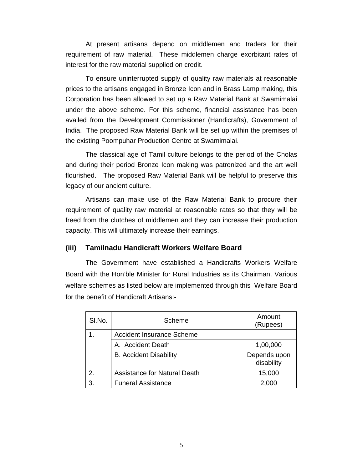At present artisans depend on middlemen and traders for their requirement of raw material. These middlemen charge exorbitant rates of interest for the raw material supplied on credit.

To ensure uninterrupted supply of quality raw materials at reasonable prices to the artisans engaged in Bronze Icon and in Brass Lamp making, this Corporation has been allowed to set up a Raw Material Bank at Swamimalai under the above scheme. For this scheme, financial assistance has been availed from the Development Commissioner (Handicrafts), Government of India. The proposed Raw Material Bank will be set up within the premises of the existing Poompuhar Production Centre at Swamimalai.

 The classical age of Tamil culture belongs to the period of the Cholas and during their period Bronze Icon making was patronized and the art well flourished. The proposed Raw Material Bank will be helpful to preserve this legacy of our ancient culture.

 Artisans can make use of the Raw Material Bank to procure their requirement of quality raw material at reasonable rates so that they will be freed from the clutches of middlemen and they can increase their production capacity. This will ultimately increase their earnings.

#### **(iii) Tamilnadu Handicraft Workers Welfare Board**

The Government have established a Handicrafts Workers Welfare Board with the Hon'ble Minister for Rural Industries as its Chairman. Various welfare schemes as listed below are implemented through this Welfare Board for the benefit of Handicraft Artisans:-

| SI.No. | Scheme                              | Amount<br>(Rupees)         |
|--------|-------------------------------------|----------------------------|
|        | <b>Accident Insurance Scheme</b>    |                            |
|        | A. Accident Death                   | 1,00,000                   |
|        | <b>B.</b> Accident Disability       | Depends upon<br>disability |
| 2.     | <b>Assistance for Natural Death</b> | 15,000                     |
| 3.     | <b>Funeral Assistance</b>           | 2,000                      |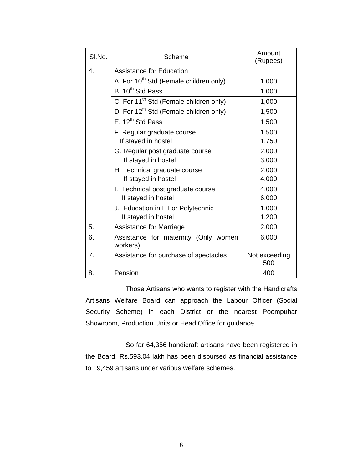| SI.No. | Scheme                                             | Amount<br>(Rupees)   |
|--------|----------------------------------------------------|----------------------|
| 4.     | <b>Assistance for Education</b>                    |                      |
|        | A. For 10 <sup>th</sup> Std (Female children only) | 1,000                |
|        | B. 10 <sup>th</sup> Std Pass                       | 1,000                |
|        | C. For 11 <sup>th</sup> Std (Female children only) | 1,000                |
|        | D. For 12 <sup>th</sup> Std (Female children only) | 1,500                |
|        | E. $12^{th}$ Std Pass                              | 1,500                |
|        | F. Regular graduate course                         | 1,500                |
|        | If stayed in hostel                                | 1,750                |
|        | G. Regular post graduate course                    | 2,000                |
|        | If stayed in hostel                                | 3,000                |
|        | H. Technical graduate course                       | 2,000                |
|        | If stayed in hostel                                | 4,000                |
|        | I. Technical post graduate course                  | 4,000                |
|        | If stayed in hostel                                | 6,000                |
|        | J. Education in ITI or Polytechnic                 | 1,000                |
|        | If stayed in hostel                                | 1,200                |
| 5.     | Assistance for Marriage                            | 2,000                |
| 6.     | Assistance for maternity (Only women<br>workers)   | 6,000                |
| 7.     | Assistance for purchase of spectacles              | Not exceeding<br>500 |
| 8.     | Pension                                            | 400                  |

 Those Artisans who wants to register with the Handicrafts Artisans Welfare Board can approach the Labour Officer (Social Security Scheme) in each District or the nearest Poompuhar Showroom, Production Units or Head Office for guidance.

 So far 64,356 handicraft artisans have been registered in the Board. Rs.593.04 lakh has been disbursed as financial assistance to 19,459 artisans under various welfare schemes.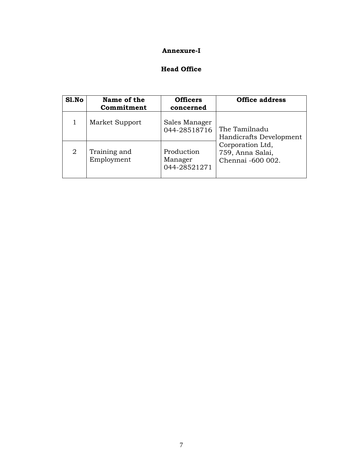#### **Annexure-I**

#### **Head Office**

| S1.No          | Name of the<br>Commitment  | <b>Officers</b><br>concerned          | <b>Office address</b>                                     |
|----------------|----------------------------|---------------------------------------|-----------------------------------------------------------|
|                |                            |                                       |                                                           |
|                | Market Support             | Sales Manager<br>044-28518716         | The Tamilnadu<br>Handicrafts Development                  |
| $\overline{2}$ | Training and<br>Employment | Production<br>Manager<br>044-28521271 | Corporation Ltd,<br>759, Anna Salai,<br>Chennai -600 002. |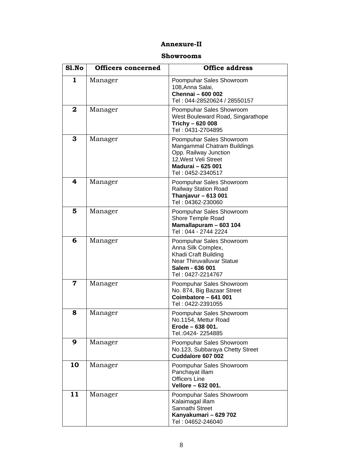#### **Annexure-II**

#### **Showrooms**

| S1.No       | <b>Officers concerned</b> | <b>Office address</b>                                                                                                                              |
|-------------|---------------------------|----------------------------------------------------------------------------------------------------------------------------------------------------|
| 1           | Manager                   | Poompuhar Sales Showroom<br>108, Anna Salai,<br><b>Chennai - 600 002</b><br>Tel: 044-28520624 / 28550157                                           |
| 2           | Manager                   | Poompuhar Sales Showroom<br>West Bouleward Road, Singarathope<br>Trichy - 620 008<br>Tel: 0431-2704895                                             |
| 3           | Manager                   | Poompuhar Sales Showroom<br>Mangammal Chatram Buildings<br>Opp. Railway Junction<br>12, West Veli Street<br>Madurai - 625 001<br>Tel: 0452-2340517 |
| 4           | Manager                   | Poompuhar Sales Showroom<br>Railway Station Road<br>Thanjavur $-613001$<br>Tel: 04362-230060                                                       |
| 5           | Manager                   | Poompuhar Sales Showroom<br>Shore Temple Road<br>Mamallapuram - 603 104<br>Tel: 044 - 2744 2224                                                    |
| 6           | Manager                   | Poompuhar Sales Showroom<br>Anna Silk Complex,<br>Khadi Craft Building<br>Near Thiruvalluvar Statue<br>Salem - 636 001<br>Tel: 0427-2214767        |
| $\mathbf 7$ | Manager                   | Poompuhar Sales Showroom<br>No. 874, Big Bazaar Street<br>Coimbatore - 641 001<br>Tel: 0422-2391055                                                |
| 8           | Manager                   | Poompuhar Sales Showroom<br>No.1154, Mettur Road<br>Erode – 638 001<br>Tel.: 0424 - 2254885                                                        |
| 9           | Manager                   | Poompuhar Sales Showroom<br>No.123, Subbaraya Chetty Street<br>Cuddalore 607 002                                                                   |
| 10          | Manager                   | Poompuhar Sales Showroom<br>Panchayat illam<br><b>Officers Line</b><br>Vellore - 632 001.                                                          |
| 11          | Manager                   | Poompuhar Sales Showroom<br>Kalaimagal illam<br>Sannathi Street<br>Kanyakumari - 629 702<br>Tel: 04652-246040                                      |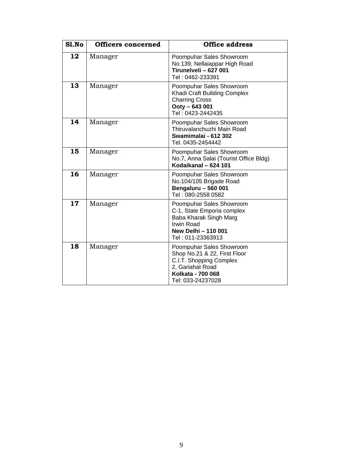| Sl.No | <b>Officers concerned</b> | <b>Office address</b>                                                                                                                                    |
|-------|---------------------------|----------------------------------------------------------------------------------------------------------------------------------------------------------|
| 12    | Manager                   | Poompuhar Sales Showroom<br>No.139, Nellaiappar High Road<br>Tirunelveli - 627 001<br>Tel: 0462-233391                                                   |
| 13    | Manager                   | Poompuhar Sales Showroom<br>Khadi Craft Building Complex<br><b>Charring Cross</b><br>Ooty - 643 001<br>Tel: 0423-2442435                                 |
| 14    | Manager                   | Poompuhar Sales Showroom<br>Thiruvalanchuzhi Main Road<br>Swamimalai - 612 302<br>Tel. 0435-2454442                                                      |
| 15    | Manager                   | Poompuhar Sales Showroom<br>No.7, Anna Salai (Tourist Office Bldg)<br>Kodaikanal - 624 101                                                               |
| 16    | Manager                   | Poompuhar Sales Showroom<br>No.104/105 Brigade Road<br><b>Bengaluru - 560 001</b><br>Tel: 080-2558 0582                                                  |
| 17    | Manager                   | Poompuhar Sales Showroom<br>C-1, State Emporia complex<br>Baba Kharak Singh Marg<br><b>Irwin Road</b><br><b>New Delhi - 110 001</b><br>Tel: 011-23363913 |
| 18    | Manager                   | Poompuhar Sales Showroom<br>Shop No.21 & 22, First Floor<br>C.I.T. Shopping Complex<br>2, Gariahat Road<br>Kolkata - 700 068<br>Tel: 033-24237028        |